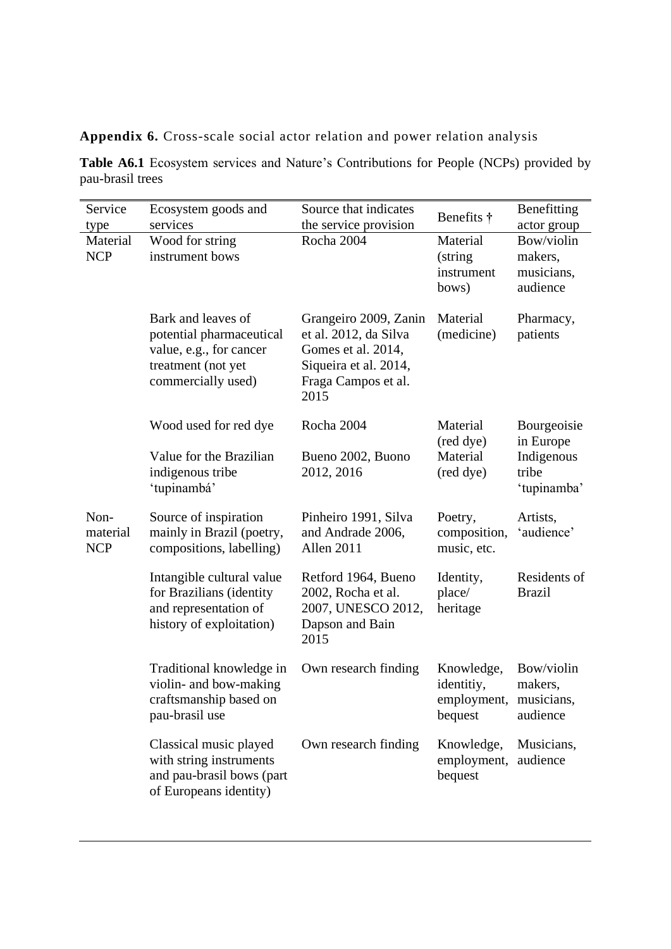**Appendix 6.** Cross-scale social actor relation and power relation analysis

**Table A6.1** Ecosystem services and Nature's Contributions for People (NCPs) provided by pau-brasil trees

| Service<br>type                | Ecosystem goods and<br>services                                                                                       | Source that indicates<br>the service provision                                                                               | Benefits †                                                    | Benefitting<br>actor group                      |
|--------------------------------|-----------------------------------------------------------------------------------------------------------------------|------------------------------------------------------------------------------------------------------------------------------|---------------------------------------------------------------|-------------------------------------------------|
| Material<br><b>NCP</b>         | Wood for string<br>instrument bows                                                                                    | Rocha 2004                                                                                                                   | Material<br>(string)<br>instrument<br>bows)                   | Bow/violin<br>makers,<br>musicians,<br>audience |
|                                | Bark and leaves of<br>potential pharmaceutical<br>value, e.g., for cancer<br>treatment (not yet<br>commercially used) | Grangeiro 2009, Zanin<br>et al. 2012, da Silva<br>Gomes et al. 2014,<br>Siqueira et al. 2014,<br>Fraga Campos et al.<br>2015 | Material<br>(medicine)                                        | Pharmacy,<br>patients                           |
|                                | Wood used for red dye                                                                                                 | Rocha 2004                                                                                                                   | Material<br>(red dye)                                         | Bourgeoisie<br>in Europe                        |
|                                | Value for the Brazilian<br>indigenous tribe<br>'tupinambá'                                                            | Bueno 2002, Buono<br>2012, 2016                                                                                              | Material<br>(red dye)                                         | Indigenous<br>tribe<br>'tupinamba'              |
| Non-<br>material<br><b>NCP</b> | Source of inspiration<br>mainly in Brazil (poetry,<br>compositions, labelling)                                        | Pinheiro 1991, Silva<br>and Andrade 2006,<br>Allen 2011                                                                      | Poetry,<br>composition,<br>music, etc.                        | Artists,<br>'audience'                          |
|                                | Intangible cultural value<br>for Brazilians (identity<br>and representation of<br>history of exploitation)            | Retford 1964, Bueno<br>2002, Rocha et al.<br>2007, UNESCO 2012,<br>Dapson and Bain<br>2015                                   | Identity,<br>place/<br>heritage                               | Residents of<br><b>Brazil</b>                   |
|                                | Traditional knowledge in<br>violin- and bow-making<br>craftsmanship based on<br>pau-brasil use                        | Own research finding                                                                                                         | Knowledge,<br>identitiy,<br>employment, musicians,<br>bequest | Bow/violin<br>makers,<br>audience               |
|                                | Classical music played<br>with string instruments<br>and pau-brasil bows (part<br>of Europeans identity)              | Own research finding                                                                                                         | Knowledge,<br>employment,<br>bequest                          | Musicians,<br>audience                          |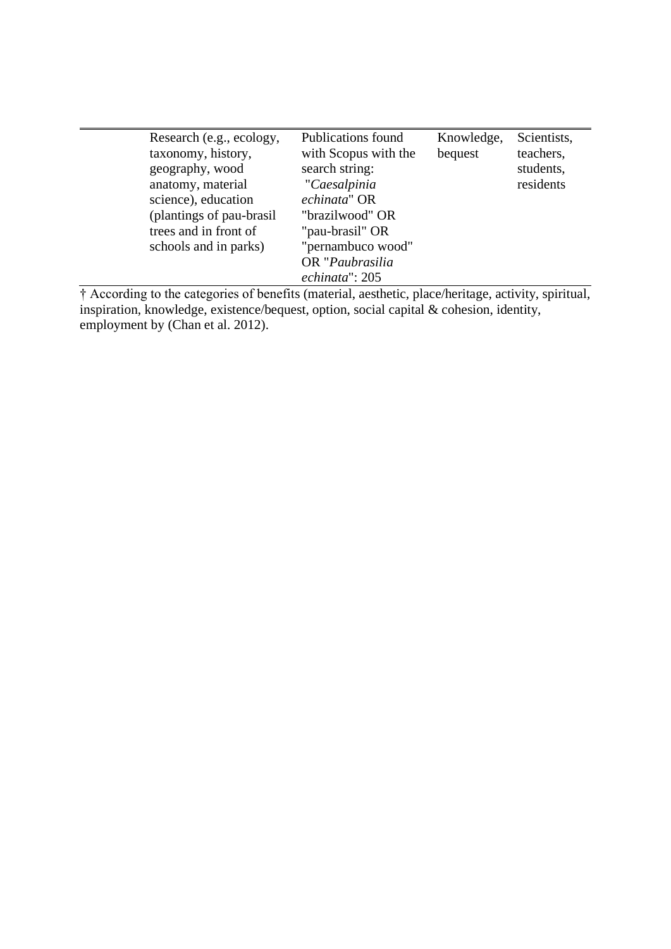$\overline{\phantom{a}}$ 

† According to the categories of benefits (material, aesthetic, place/heritage, activity, spiritual, inspiration, knowledge, existence/bequest, option, social capital & cohesion, identity, employment by (Chan et al. 2012).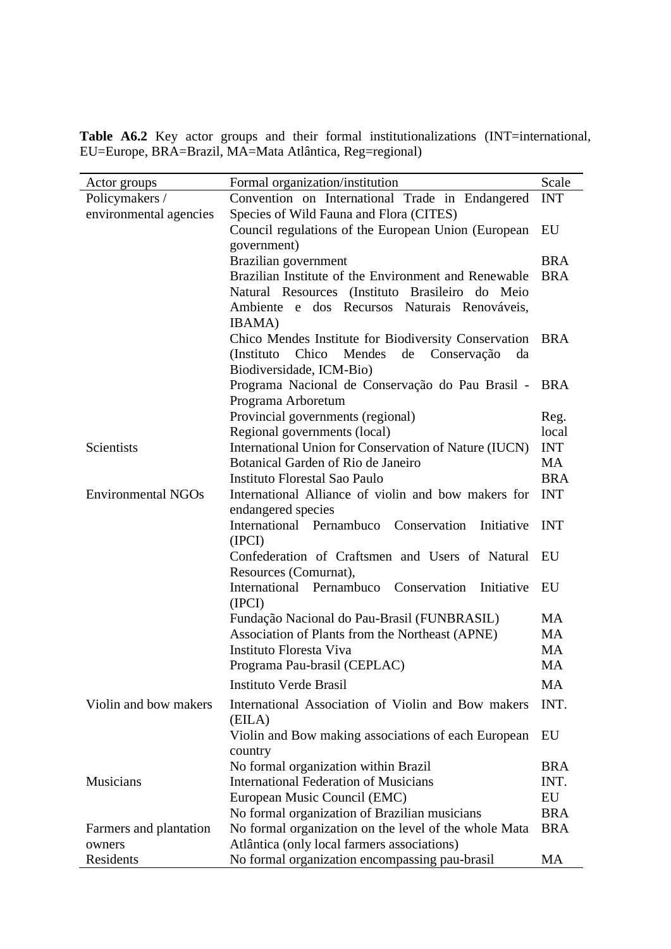Table A6.2 Key actor groups and their formal institutionalizations (INT=international, EU=Europe, BRA=Brazil, MA=Mata Atlântica, Reg=regional)

| Actor groups              | Formal organization/institution                                                               | Scale<br><b>INT</b> |  |  |  |
|---------------------------|-----------------------------------------------------------------------------------------------|---------------------|--|--|--|
| Policymakers /            | Convention on International Trade in Endangered                                               |                     |  |  |  |
| environmental agencies    | Species of Wild Fauna and Flora (CITES)                                                       | EU                  |  |  |  |
|                           | Council regulations of the European Union (European                                           |                     |  |  |  |
|                           | government)                                                                                   | <b>BRA</b>          |  |  |  |
|                           | Brazilian government                                                                          |                     |  |  |  |
|                           | Brazilian Institute of the Environment and Renewable                                          | <b>BRA</b>          |  |  |  |
|                           | Natural Resources (Instituto Brasileiro do Meio                                               |                     |  |  |  |
|                           | Ambiente e dos Recursos Naturais Renováveis,                                                  |                     |  |  |  |
|                           | IBAMA)                                                                                        |                     |  |  |  |
|                           | Chico Mendes Institute for Biodiversity Conservation BRA                                      |                     |  |  |  |
|                           | Chico Mendes de<br>Conservação<br>(Instituto)<br>da                                           |                     |  |  |  |
|                           | Biodiversidade, ICM-Bio)                                                                      |                     |  |  |  |
|                           | Programa Nacional de Conservação do Pau Brasil -                                              | <b>BRA</b>          |  |  |  |
|                           | Programa Arboretum                                                                            |                     |  |  |  |
|                           | Provincial governments (regional)                                                             | Reg.<br>local       |  |  |  |
| Scientists                | Regional governments (local)                                                                  | <b>INT</b>          |  |  |  |
|                           | International Union for Conservation of Nature (IUCN)<br>Botanical Garden of Rio de Janeiro   | <b>MA</b>           |  |  |  |
|                           | Instituto Florestal Sao Paulo                                                                 | <b>BRA</b>          |  |  |  |
| <b>Environmental NGOs</b> | International Alliance of violin and bow makers for                                           |                     |  |  |  |
| endangered species        |                                                                                               |                     |  |  |  |
|                           | International Pernambuco Conservation<br>Initiative                                           | <b>INT</b>          |  |  |  |
|                           | (IPCI)                                                                                        |                     |  |  |  |
|                           | Confederation of Craftsmen and Users of Natural                                               | EU                  |  |  |  |
|                           | Resources (Comurnat),                                                                         |                     |  |  |  |
|                           | International Pernambuco Conservation<br>Initiative                                           | EU                  |  |  |  |
|                           | (IPCI)                                                                                        |                     |  |  |  |
|                           | Fundação Nacional do Pau-Brasil (FUNBRASIL)                                                   | <b>MA</b>           |  |  |  |
|                           | Association of Plants from the Northeast (APNE)                                               | <b>MA</b>           |  |  |  |
|                           | Instituto Floresta Viva                                                                       | <b>MA</b>           |  |  |  |
|                           | Programa Pau-brasil (CEPLAC)                                                                  | <b>MA</b>           |  |  |  |
|                           | <b>Instituto Verde Brasil</b>                                                                 | MA                  |  |  |  |
|                           |                                                                                               |                     |  |  |  |
| Violin and bow makers     | International Association of Violin and Bow makers                                            | INT.                |  |  |  |
|                           | (EILA)                                                                                        |                     |  |  |  |
|                           | Violin and Bow making associations of each European                                           | EU                  |  |  |  |
|                           | country                                                                                       |                     |  |  |  |
|                           | No formal organization within Brazil<br><b>International Federation of Musicians</b>          | <b>BRA</b>          |  |  |  |
| Musicians                 |                                                                                               | INT.                |  |  |  |
|                           | European Music Council (EMC)                                                                  | EU<br><b>BRA</b>    |  |  |  |
|                           | No formal organization of Brazilian musicians                                                 | <b>BRA</b>          |  |  |  |
| Farmers and plantation    | No formal organization on the level of the whole Mata                                         |                     |  |  |  |
| owners<br>Residents       | Atlântica (only local farmers associations)<br>No formal organization encompassing pau-brasil | <b>MA</b>           |  |  |  |
|                           |                                                                                               |                     |  |  |  |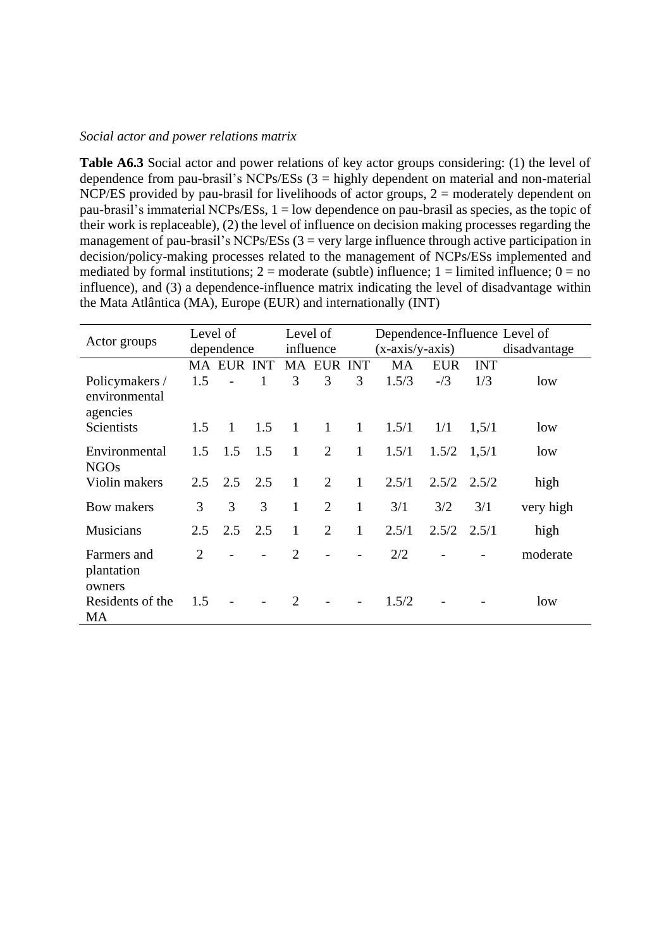## *Social actor and power relations matrix*

**Table A6.3** Social actor and power relations of key actor groups considering: (1) the level of dependence from pau-brasil's NCPs/ESs  $(3 =$  highly dependent on material and non-material NCP/ES provided by pau-brasil for livelihoods of actor groups,  $2 =$  moderately dependent on pau-brasil's immaterial NCPs/ESs, 1 = low dependence on pau-brasil as species, as the topic of their work is replaceable), (2) the level of influence on decision making processes regarding the management of pau-brasil's NCPs/ESs  $(3 = \text{very large influence through active participation in})$ decision/policy-making processes related to the management of NCPs/ESs implemented and mediated by formal institutions;  $2 =$  moderate (subtle) influence;  $1 =$  limited influence;  $0 =$  no influence), and (3) a dependence-influence matrix indicating the level of disadvantage within the Mata Atlântica (MA), Europe (EUR) and internationally (INT)

| Actor groups                                | Level of<br>dependence |                | Level of<br>influence |                |                   | Dependence-Influence Level of<br>$(x-axis/y-axis)$ |       | disadvantage    |            |           |
|---------------------------------------------|------------------------|----------------|-----------------------|----------------|-------------------|----------------------------------------------------|-------|-----------------|------------|-----------|
|                                             |                        | MA EUR INT     |                       |                | <b>MA EUR INT</b> |                                                    | MA    | <b>EUR</b>      | <b>INT</b> |           |
| Policymakers /<br>environmental<br>agencies | 1.5                    |                |                       | 3              | 3                 | 3                                                  | 1.5/3 | $-1/3$          | 1/3        | low       |
| Scientists                                  | 1.5                    | $\overline{1}$ | 1.5                   | $\mathbf{1}$   | $\mathbf{1}$      | 1                                                  | 1.5/1 | 1/1             | 1,5/1      | low       |
| Environmental<br><b>NGOs</b>                | 1.5                    | 1.5            | 1.5                   | $\mathbf{1}$   | $\overline{2}$    | $\mathbf{1}$                                       | 1.5/1 | $1.5/2$ $1,5/1$ |            | low       |
| Violin makers                               | 2.5                    | 2.5            | 2.5                   | $\mathbf{1}$   | $\overline{2}$    | $\mathbf{1}$                                       | 2.5/1 | $2.5/2$ $2.5/2$ |            | high      |
| Bow makers                                  | 3                      | 3              | 3                     | $\mathbf{1}$   | $\overline{2}$    | $\mathbf{1}$                                       | 3/1   | 3/2             | 3/1        | very high |
| <b>Musicians</b>                            | 2.5                    | 2.5            | 2.5                   | $\mathbf{1}$   | $\overline{2}$    | 1                                                  | 2.5/1 | $2.5/2$ $2.5/1$ |            | high      |
| Farmers and<br>plantation<br>owners         | $\overline{2}$         |                |                       | $\overline{2}$ |                   |                                                    | 2/2   |                 |            | moderate  |
| Residents of the<br>MA                      | 1.5                    |                |                       | $\overline{2}$ |                   |                                                    | 1.5/2 |                 |            | low       |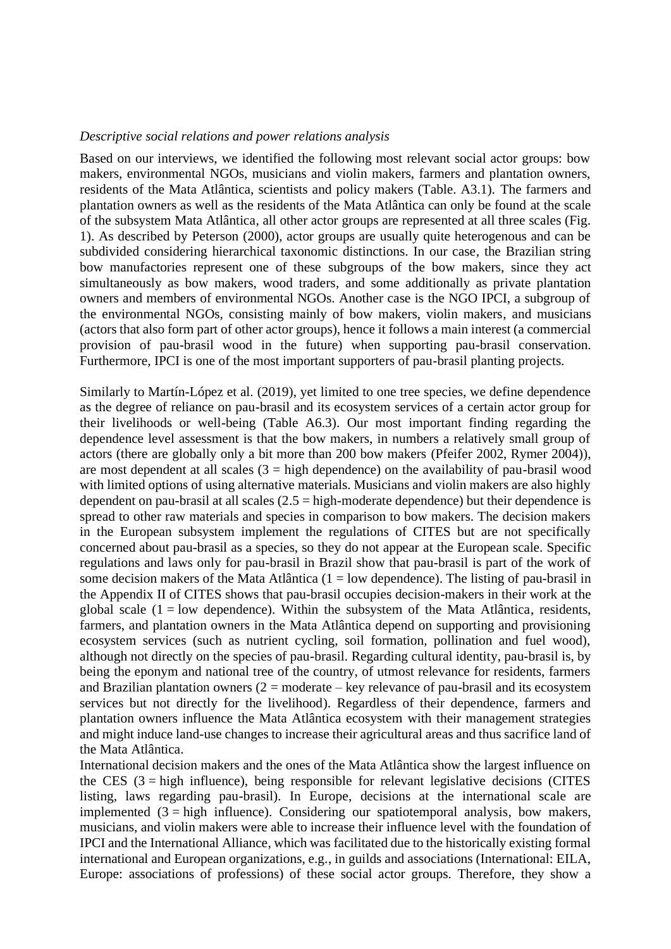## *Descriptive social relations and power relations analysis*

Based on our interviews, we identified the following most relevant social actor groups: bow makers, environmental NGOs, musicians and violin makers, farmers and plantation owners, residents of the Mata Atlântica, scientists and policy makers (Table. A3.1). The farmers and plantation owners as well as the residents of the Mata Atlântica can only be found at the scale of the subsystem Mata Atlântica, all other actor groups are represented at all three scales (Fig. 1). As described by Peterson (2000), actor groups are usually quite heterogenous and can be subdivided considering hierarchical taxonomic distinctions. In our case, the Brazilian string bow manufactories represent one of these subgroups of the bow makers, since they act simultaneously as bow makers, wood traders, and some additionally as private plantation owners and members of environmental NGOs. Another case is the NGO IPCI, a subgroup of the environmental NGOs, consisting mainly of bow makers, violin makers, and musicians (actors that also form part of other actor groups), hence it follows a main interest (a commercial provision of pau-brasil wood in the future) when supporting pau-brasil conservation. Furthermore, IPCI is one of the most important supporters of pau-brasil planting projects.

Similarly to Martín-López et al. (2019), yet limited to one tree species, we define dependence as the degree of reliance on pau-brasil and its ecosystem services of a certain actor group for their livelihoods or well-being (Table A6.3). Our most important finding regarding the dependence level assessment is that the bow makers, in numbers a relatively small group of actors (there are globally only a bit more than 200 bow makers (Pfeifer 2002, Rymer 2004)), are most dependent at all scales  $(3 = high dependence)$  on the availability of pau-brasil wood with limited options of using alternative materials. Musicians and violin makers are also highly dependent on pau-brasil at all scales  $(2.5 = high-moderate dependence)$  but their dependence is spread to other raw materials and species in comparison to bow makers. The decision makers in the European subsystem implement the regulations of CITES but are not specifically concerned about pau-brasil as a species, so they do not appear at the European scale. Specific regulations and laws only for pau-brasil in Brazil show that pau-brasil is part of the work of some decision makers of the Mata Atlântica ( $1 =$ low dependence). The listing of pau-brasil in the Appendix II of CITES shows that pau-brasil occupies decision-makers in their work at the global scale  $(1 = low dependence)$ . Within the subsystem of the Mata Atlântica, residents, farmers, and plantation owners in the Mata Atlântica depend on supporting and provisioning ecosystem services (such as nutrient cycling, soil formation, pollination and fuel wood), although not directly on the species of pau-brasil. Regarding cultural identity, pau-brasil is, by being the eponym and national tree of the country, of utmost relevance for residents, farmers and Brazilian plantation owners  $(2 = \text{moderate} - \text{key relevance of pau-brasil and its ecosystem})$ services but not directly for the livelihood). Regardless of their dependence, farmers and plantation owners influence the Mata Atlântica ecosystem with their management strategies and might induce land-use changes to increase their agricultural areas and thus sacrifice land of the Mata Atlântica.

International decision makers and the ones of the Mata Atlântica show the largest influence on the CES  $(3 = high influence)$ , being responsible for relevant legislative decisions (CITES listing, laws regarding pau-brasil). In Europe, decisions at the international scale are implemented  $(3 = high$  influence). Considering our spatiotemporal analysis, bow makers, musicians, and violin makers were able to increase their influence level with the foundation of IPCI and the International Alliance, which was facilitated due to the historically existing formal international and European organizations, e.g., in guilds and associations (International: EILA, Europe: associations of professions) of these social actor groups. Therefore, they show a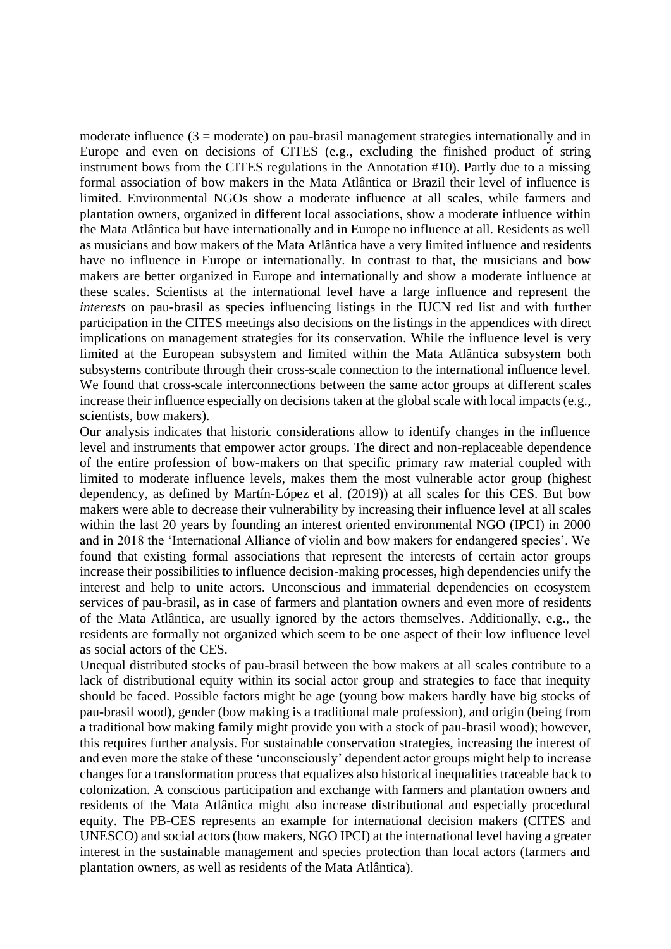moderate influence  $(3 =$  moderate) on pau-brasil management strategies internationally and in Europe and even on decisions of CITES (e.g., excluding the finished product of string instrument bows from the CITES regulations in the Annotation #10). Partly due to a missing formal association of bow makers in the Mata Atlântica or Brazil their level of influence is limited. Environmental NGOs show a moderate influence at all scales, while farmers and plantation owners, organized in different local associations, show a moderate influence within the Mata Atlântica but have internationally and in Europe no influence at all. Residents as well as musicians and bow makers of the Mata Atlântica have a very limited influence and residents have no influence in Europe or internationally. In contrast to that, the musicians and bow makers are better organized in Europe and internationally and show a moderate influence at these scales. Scientists at the international level have a large influence and represent the *interests* on pau-brasil as species influencing listings in the IUCN red list and with further participation in the CITES meetings also decisions on the listings in the appendices with direct implications on management strategies for its conservation. While the influence level is very limited at the European subsystem and limited within the Mata Atlântica subsystem both subsystems contribute through their cross-scale connection to the international influence level. We found that cross-scale interconnections between the same actor groups at different scales increase their influence especially on decisions taken at the global scale with local impacts (e.g., scientists, bow makers).

Our analysis indicates that historic considerations allow to identify changes in the influence level and instruments that empower actor groups. The direct and non-replaceable dependence of the entire profession of bow-makers on that specific primary raw material coupled with limited to moderate influence levels, makes them the most vulnerable actor group (highest dependency, as defined by Martín-López et al. (2019)) at all scales for this CES. But bow makers were able to decrease their vulnerability by increasing their influence level at all scales within the last 20 years by founding an interest oriented environmental NGO (IPCI) in 2000 and in 2018 the 'International Alliance of violin and bow makers for endangered species'. We found that existing formal associations that represent the interests of certain actor groups increase their possibilities to influence decision-making processes, high dependencies unify the interest and help to unite actors. Unconscious and immaterial dependencies on ecosystem services of pau-brasil, as in case of farmers and plantation owners and even more of residents of the Mata Atlântica, are usually ignored by the actors themselves. Additionally, e.g., the residents are formally not organized which seem to be one aspect of their low influence level as social actors of the CES.

Unequal distributed stocks of pau-brasil between the bow makers at all scales contribute to a lack of distributional equity within its social actor group and strategies to face that inequity should be faced. Possible factors might be age (young bow makers hardly have big stocks of pau-brasil wood), gender (bow making is a traditional male profession), and origin (being from a traditional bow making family might provide you with a stock of pau-brasil wood); however, this requires further analysis. For sustainable conservation strategies, increasing the interest of and even more the stake of these 'unconsciously' dependent actor groups might help to increase changes for a transformation process that equalizes also historical inequalities traceable back to colonization. A conscious participation and exchange with farmers and plantation owners and residents of the Mata Atlântica might also increase distributional and especially procedural equity. The PB-CES represents an example for international decision makers (CITES and UNESCO) and social actors (bow makers, NGO IPCI) at the international level having a greater interest in the sustainable management and species protection than local actors (farmers and plantation owners, as well as residents of the Mata Atlântica).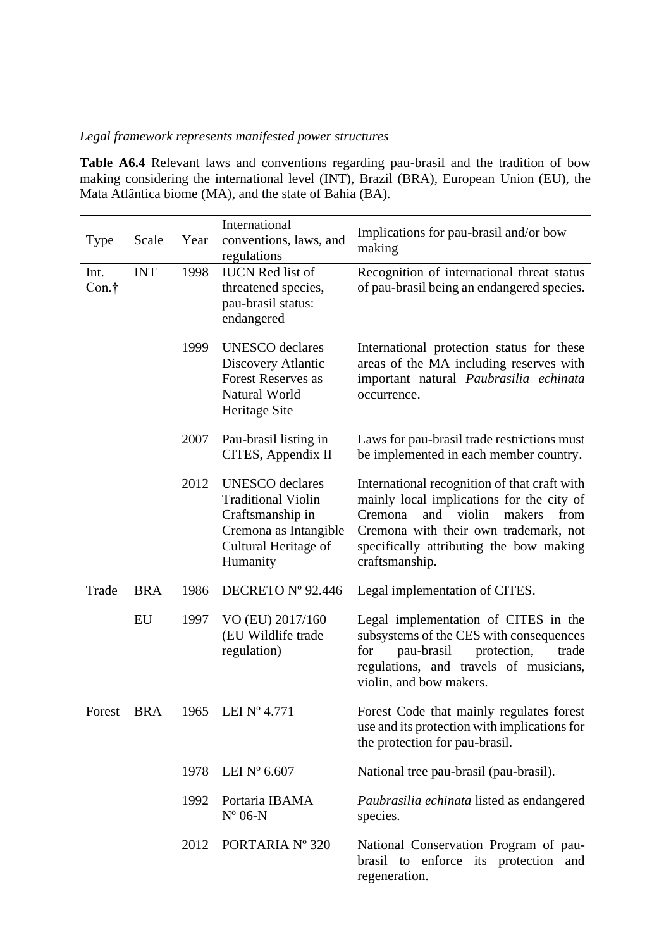## *Legal framework represents manifested power structures*

**Table A6.4** Relevant laws and conventions regarding pau-brasil and the tradition of bow making considering the international level (INT), Brazil (BRA), European Union (EU), the Mata Atlântica biome (MA), and the state of Bahia (BA).

| Type          | Scale      | Year | International<br>conventions, laws, and<br>regulations                                                                               | Implications for pau-brasil and/or bow<br>making                                                                                                                                                                                              |
|---------------|------------|------|--------------------------------------------------------------------------------------------------------------------------------------|-----------------------------------------------------------------------------------------------------------------------------------------------------------------------------------------------------------------------------------------------|
| Int.<br>Con.† | <b>INT</b> | 1998 | <b>IUCN</b> Red list of<br>threatened species,<br>pau-brasil status:<br>endangered                                                   | Recognition of international threat status<br>of pau-brasil being an endangered species.                                                                                                                                                      |
|               |            | 1999 | <b>UNESCO</b> declares<br>Discovery Atlantic<br><b>Forest Reserves as</b><br>Natural World<br>Heritage Site                          | International protection status for these<br>areas of the MA including reserves with<br>important natural Paubrasilia echinata<br>occurrence.                                                                                                 |
|               |            | 2007 | Pau-brasil listing in<br>CITES, Appendix II                                                                                          | Laws for pau-brasil trade restrictions must<br>be implemented in each member country.                                                                                                                                                         |
|               |            | 2012 | <b>UNESCO</b> declares<br><b>Traditional Violin</b><br>Craftsmanship in<br>Cremona as Intangible<br>Cultural Heritage of<br>Humanity | International recognition of that craft with<br>mainly local implications for the city of<br>and<br>violin<br>makers<br>from<br>Cremona<br>Cremona with their own trademark, not<br>specifically attributing the bow making<br>craftsmanship. |
| Trade         | <b>BRA</b> | 1986 | DECRETO Nº 92.446                                                                                                                    | Legal implementation of CITES.                                                                                                                                                                                                                |
|               | EU         | 1997 | VO (EU) 2017/160<br>(EU Wildlife trade<br>regulation)                                                                                | Legal implementation of CITES in the<br>subsystems of the CES with consequences<br>pau-brasil<br>protection,<br>for<br>trade<br>regulations, and travels of musicians,<br>violin, and bow makers.                                             |
| Forest        | <b>BRA</b> | 1965 | LEI $N^{\circ}$ 4.771                                                                                                                | Forest Code that mainly regulates forest<br>use and its protection with implications for<br>the protection for pau-brasil.                                                                                                                    |
|               |            | 1978 | LEI $N^{\circ}$ 6.607                                                                                                                | National tree pau-brasil (pau-brasil).                                                                                                                                                                                                        |
|               |            | 1992 | Portaria IBAMA<br>$N^{\circ}$ 06-N                                                                                                   | Paubrasilia echinata listed as endangered<br>species.                                                                                                                                                                                         |
|               |            | 2012 | PORTARIA Nº 320                                                                                                                      | National Conservation Program of pau-<br>brasil to enforce its protection and<br>regeneration.                                                                                                                                                |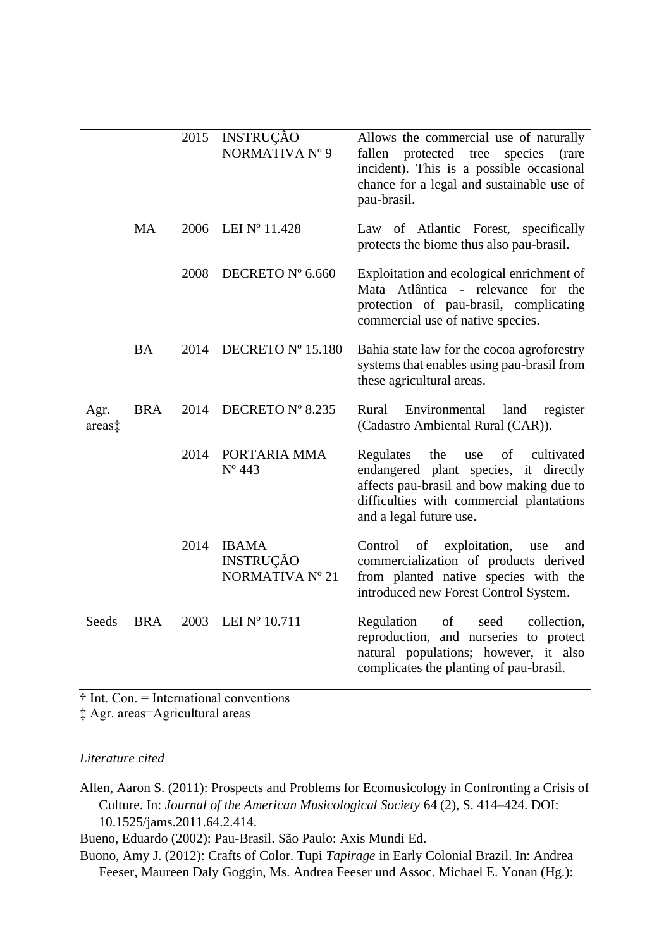|                |            | 2015 | <b>INSTRUÇÃO</b><br>NORMATIVA Nº 9                  | Allows the commercial use of naturally<br>fallen protected tree species<br>(rare<br>incident). This is a possible occasional<br>chance for a legal and sustainable use of<br>pau-brasil.                |
|----------------|------------|------|-----------------------------------------------------|---------------------------------------------------------------------------------------------------------------------------------------------------------------------------------------------------------|
|                | <b>MA</b>  | 2006 | LEI $N^{\circ}$ 11.428                              | Law of Atlantic Forest, specifically<br>protects the biome thus also pau-brasil.                                                                                                                        |
|                |            | 2008 | DECRETO Nº 6.660                                    | Exploitation and ecological enrichment of<br>Mata Atlântica - relevance for the<br>protection of pau-brasil, complicating<br>commercial use of native species.                                          |
|                | <b>BA</b>  | 2014 | DECRETO Nº 15.180                                   | Bahia state law for the cocoa agroforestry<br>systems that enables using pau-brasil from<br>these agricultural areas.                                                                                   |
| Agr.<br>areas‡ | <b>BRA</b> | 2014 | DECRETO Nº 8.235                                    | Rural<br>Environmental<br>land<br>register<br>(Cadastro Ambiental Rural (CAR)).                                                                                                                         |
|                |            | 2014 | PORTARIA MMA<br>$N^{\circ}$ 443                     | Regulates<br>the<br>of<br>cultivated<br>use<br>endangered plant species, it directly<br>affects pau-brasil and bow making due to<br>difficulties with commercial plantations<br>and a legal future use. |
|                |            | 2014 | <b>IBAMA</b><br><b>INSTRUÇÃO</b><br>NORMATIVA Nº 21 | exploitation,<br>of<br>Control<br>use<br>and<br>commercialization of products derived<br>from planted native species with the<br>introduced new Forest Control System.                                  |
| Seeds          | <b>BRA</b> | 2003 | LEI $N^{\circ}$ 10.711                              | Regulation<br>of<br>seed<br>collection,<br>reproduction, and nurseries to protect<br>natural populations; however, it also<br>complicates the planting of pau-brasil.                                   |

 $\dagger$  Int. Con. = International conventions

‡ Agr. areas=Agricultural areas

## *Literature cited*

Allen, Aaron S. (2011): Prospects and Problems for Ecomusicology in Confronting a Crisis of Culture. In: *Journal of the American Musicological Society* 64 (2), S. 414–424. DOI: 10.1525/jams.2011.64.2.414.

Bueno, Eduardo (2002): Pau-Brasil. São Paulo: Axis Mundi Ed.

Buono, Amy J. (2012): Crafts of Color. Tupi *Tapirage* in Early Colonial Brazil. In: Andrea Feeser, Maureen Daly Goggin, Ms. Andrea Feeser und Assoc. Michael E. Yonan (Hg.):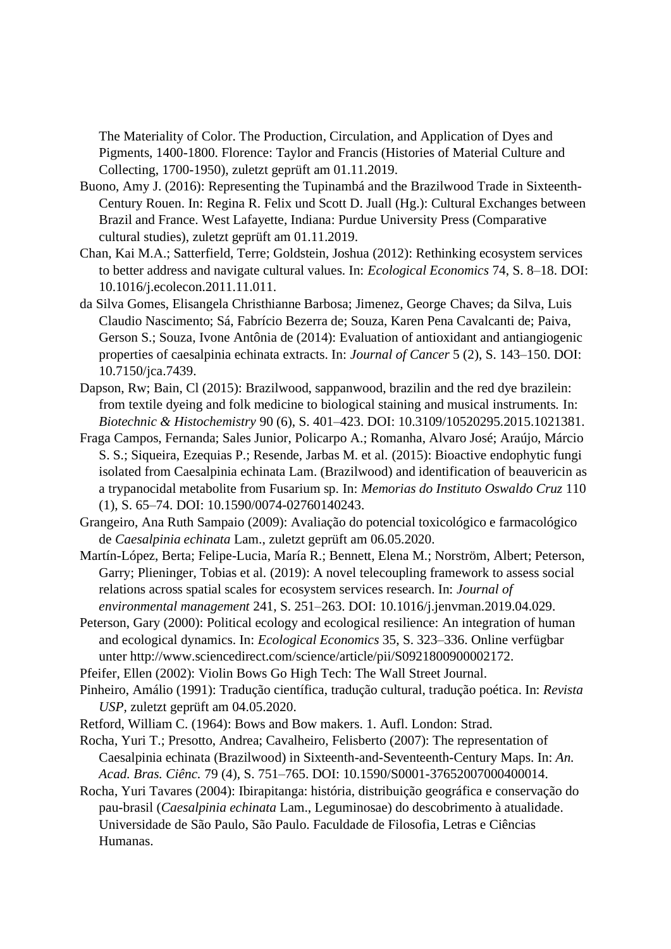The Materiality of Color. The Production, Circulation, and Application of Dyes and Pigments, 1400-1800. Florence: Taylor and Francis (Histories of Material Culture and Collecting, 1700-1950), zuletzt geprüft am 01.11.2019.

- Buono, Amy J. (2016): Representing the Tupinambá and the Brazilwood Trade in Sixteenth-Century Rouen. In: Regina R. Felix und Scott D. Juall (Hg.): Cultural Exchanges between Brazil and France. West Lafayette, Indiana: Purdue University Press (Comparative cultural studies), zuletzt geprüft am 01.11.2019.
- Chan, Kai M.A.; Satterfield, Terre; Goldstein, Joshua (2012): Rethinking ecosystem services to better address and navigate cultural values. In: *Ecological Economics* 74, S. 8–18. DOI: 10.1016/j.ecolecon.2011.11.011.
- da Silva Gomes, Elisangela Christhianne Barbosa; Jimenez, George Chaves; da Silva, Luis Claudio Nascimento; Sá, Fabrício Bezerra de; Souza, Karen Pena Cavalcanti de; Paiva, Gerson S.; Souza, Ivone Antônia de (2014): Evaluation of antioxidant and antiangiogenic properties of caesalpinia echinata extracts. In: *Journal of Cancer* 5 (2), S. 143–150. DOI: 10.7150/jca.7439.
- Dapson, Rw; Bain, Cl (2015): Brazilwood, sappanwood, brazilin and the red dye brazilein: from textile dyeing and folk medicine to biological staining and musical instruments. In: *Biotechnic & Histochemistry* 90 (6), S. 401–423. DOI: 10.3109/10520295.2015.1021381.
- Fraga Campos, Fernanda; Sales Junior, Policarpo A.; Romanha, Alvaro José; Araújo, Márcio S. S.; Siqueira, Ezequias P.; Resende, Jarbas M. et al. (2015): Bioactive endophytic fungi isolated from Caesalpinia echinata Lam. (Brazilwood) and identification of beauvericin as a trypanocidal metabolite from Fusarium sp. In: *Memorias do Instituto Oswaldo Cruz* 110 (1), S. 65–74. DOI: 10.1590/0074-02760140243.
- Grangeiro, Ana Ruth Sampaio (2009): Avaliação do potencial toxicológico e farmacológico de *Caesalpinia echinata* Lam., zuletzt geprüft am 06.05.2020.
- Martín-López, Berta; Felipe-Lucia, María R.; Bennett, Elena M.; Norström, Albert; Peterson, Garry; Plieninger, Tobias et al. (2019): A novel telecoupling framework to assess social relations across spatial scales for ecosystem services research. In: *Journal of environmental management* 241, S. 251–263. DOI: 10.1016/j.jenvman.2019.04.029.
- Peterson, Gary (2000): Political ecology and ecological resilience: An integration of human and ecological dynamics. In: *Ecological Economics* 35, S. 323–336. Online verfügbar unter http://www.sciencedirect.com/science/article/pii/S0921800900002172.
- Pfeifer, Ellen (2002): Violin Bows Go High Tech: The Wall Street Journal.
- Pinheiro, Amálio (1991): Tradução científica, tradução cultural, tradução poética. In: *Revista USP,* zuletzt geprüft am 04.05.2020.
- Retford, William C. (1964): Bows and Bow makers. 1. Aufl. London: Strad.
- Rocha, Yuri T.; Presotto, Andrea; Cavalheiro, Felisberto (2007): The representation of Caesalpinia echinata (Brazilwood) in Sixteenth-and-Seventeenth-Century Maps. In: *An. Acad. Bras. Ciênc.* 79 (4), S. 751–765. DOI: 10.1590/S0001-37652007000400014.
- Rocha, Yuri Tavares (2004): Ibirapitanga: história, distribuição geográfica e conservação do pau-brasil (*Caesalpinia echinata* Lam., Leguminosae) do descobrimento à atualidade. Universidade de São Paulo, São Paulo. Faculdade de Filosofia, Letras e Ciências Humanas.